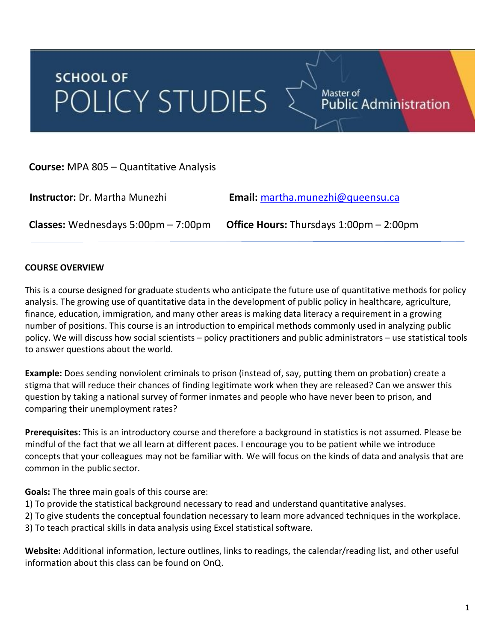# **SCHOOL OF** POLICY STUDIES

Master of<br>Public Administration

**Course:** MPA 805 – Quantitative Analysis

 **Instructor:** Dr. Martha Munezhi **Email:** martha.munezhi@queensu.ca **Classes:** Wednesdays 5:00pm – 7:00pm **Office Hours:** Thursdays 1:00pm – 2:00pm

## **COURSE OVERVIEW**

This is a course designed for graduate students who anticipate the future use of quantitative methods for policy analysis. The growing use of quantitative data in the development of public policy in healthcare, agriculture, finance, education, immigration, and many other areas is making data literacy a requirement in a growing number of positions. This course is an introduction to empirical methods commonly used in analyzing public policy. We will discuss how social scientists – policy practitioners and public administrators – use statistical tools to answer questions about the world.

**Example:** Does sending nonviolent criminals to prison (instead of, say, putting them on probation) create a stigma that will reduce their chances of finding legitimate work when they are released? Can we answer this question by taking a national survey of former inmates and people who have never been to prison, and comparing their unemployment rates?

**Prerequisites:** This is an introductory course and therefore a background in statistics is not assumed. Please be mindful of the fact that we all learn at different paces. I encourage you to be patient while we introduce concepts that your colleagues may not be familiar with. We will focus on the kinds of data and analysis that are common in the public sector.

**Goals:** The three main goals of this course are:

- 1) To provide the statistical background necessary to read and understand quantitative analyses.
- 2) To give students the conceptual foundation necessary to learn more advanced techniques in the workplace.
- 3) To teach practical skills in data analysis using Excel statistical software.

**Website:** Additional information, lecture outlines, links to readings, the calendar/reading list, and other useful information about this class can be found on OnQ.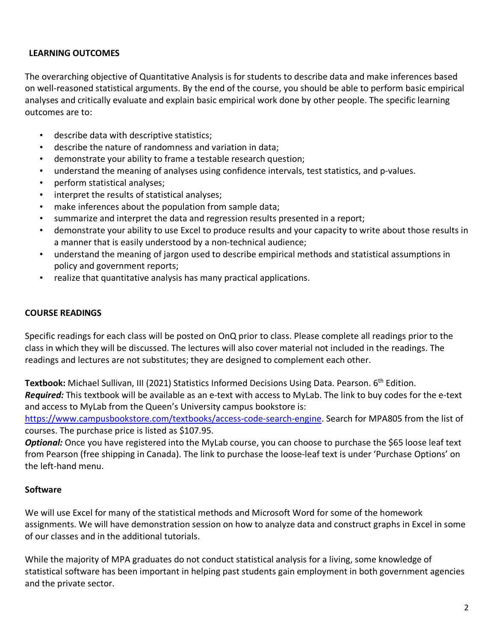## **LEARNING OUTCOMES**

The overarching objective of Quantitative Analysis is for students to describe data and make inferences based on well-reasoned statistical arguments. By the end of the course, you should be able to perform basic empirical analyses and critically evaluate and explain basic empirical work done by other people. The specific learning outcomes are to:

- describe data with descriptive statistics;
- describe the nature of randomness and variation in data;
- demonstrate your ability to frame a testable research question;
- understand the meaning of analyses using confidence intervals, test statistics, and p-values.
- perform statistical analyses;
- interpret the results of statistical analyses;
- make inferences about the population from sample data;
- summarize and interpret the data and regression results presented in a report;
- demonstrate your ability to use Excel to produce results and your capacity to write about those results in a manner that is easily understood by a non-technical audience;
- understand the meaning of jargon used to describe empirical methods and statistical assumptions in policy and government reports;
- realize that quantitative analysis has many practical applications.

## **COURSE READINGS**

Specific readings for each class will be posted on OnQ prior to class. Please complete all readings prior to the class in which they will be discussed. The lectures will also cover material not included in the readings. The readings and lectures are not substitutes; they are designed to complement each other.

Textbook: Michael Sullivan, III (2021) Statistics Informed Decisions Using Data. Pearson. 6<sup>th</sup> Edition. *Required:* This textbook will be available as an e-text with access to MyLab. The link to buy codes for the e-text and access to MyLab from the Queen's University campus bookstore is:

https://www.campusbookstore.com/textbooks/access-code-search-engine. Search for MPA805 from the list of courses. The purchase price is listed as \$107.95.

*Optional:* Once you have registered into the MyLab course, you can choose to purchase the \$65 loose leaf text from Pearson (free shipping in Canada). The link to purchase the loose-leaf text is under 'Purchase Options' on the left-hand menu.

## **Software**

We will use Excel for many of the statistical methods and Microsoft Word for some of the homework assignments. We will have demonstration session on how to analyze data and construct graphs in Excel in some of our classes and in the additional tutorials.

While the majority of MPA graduates do not conduct statistical analysis for a living, some knowledge of statistical software has been important in helping past students gain employment in both government agencies and the private sector.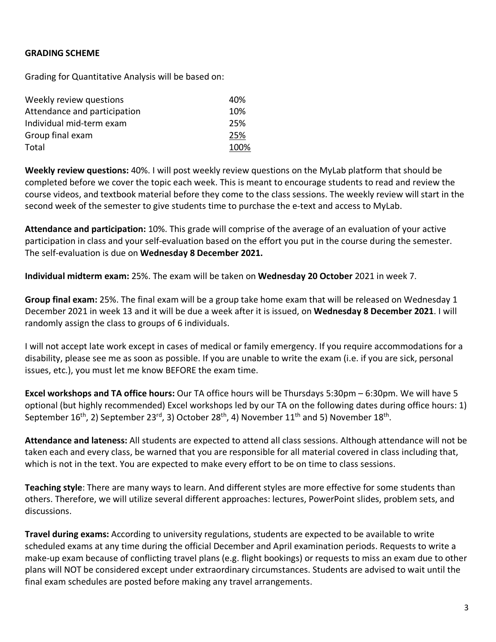#### **GRADING SCHEME**

Grading for Quantitative Analysis will be based on:

| Weekly review questions      | 40%  |
|------------------------------|------|
| Attendance and participation | 10%  |
| Individual mid-term exam     | 25%  |
| Group final exam             | 25%  |
| Total                        | 100% |

**Weekly review questions:** 40%. I will post weekly review questions on the MyLab platform that should be completed before we cover the topic each week. This is meant to encourage students to read and review the course videos, and textbook material before they come to the class sessions. The weekly review will start in the second week of the semester to give students time to purchase the e-text and access to MyLab.

**Attendance and participation:** 10%. This grade will comprise of the average of an evaluation of your active participation in class and your self-evaluation based on the effort you put in the course during the semester. The self-evaluation is due on **Wednesday 8 December 2021.** 

**Individual midterm exam:** 25%. The exam will be taken on **Wednesday 20 October** 2021 in week 7.

**Group final exam:** 25%. The final exam will be a group take home exam that will be released on Wednesday 1 December 2021 in week 13 and it will be due a week after it is issued, on **Wednesday 8 December 2021**. I will randomly assign the class to groups of 6 individuals.

I will not accept late work except in cases of medical or family emergency. If you require accommodations for a disability, please see me as soon as possible. If you are unable to write the exam (i.e. if you are sick, personal issues, etc.), you must let me know BEFORE the exam time.

**Excel workshops and TA office hours:** Our TA office hours will be Thursdays 5:30pm – 6:30pm. We will have 5 optional (but highly recommended) Excel workshops led by our TA on the following dates during office hours: 1) September 16<sup>th</sup>, 2) September 23<sup>rd</sup>, 3) October 28<sup>th</sup>, 4) November 11<sup>th</sup> and 5) November 18<sup>th</sup>.

**Attendance and lateness:** All students are expected to attend all class sessions. Although attendance will not be taken each and every class, be warned that you are responsible for all material covered in class including that, which is not in the text. You are expected to make every effort to be on time to class sessions.

**Teaching style**: There are many ways to learn. And different styles are more effective for some students than others. Therefore, we will utilize several different approaches: lectures, PowerPoint slides, problem sets, and discussions.

**Travel during exams:** According to university regulations, students are expected to be available to write scheduled exams at any time during the official December and April examination periods. Requests to write a make-up exam because of conflicting travel plans (e.g. flight bookings) or requests to miss an exam due to other plans will NOT be considered except under extraordinary circumstances. Students are advised to wait until the final exam schedules are posted before making any travel arrangements.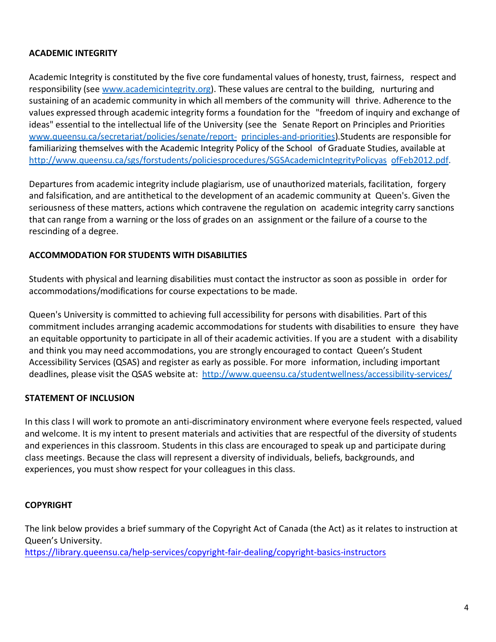## **ACADEMIC INTEGRITY**

Academic Integrity is constituted by the five core fundamental values of honesty, trust, fairness, respect and responsibility (see www.academicintegrity.org). These values are central to the building, nurturing and sustaining of an academic community in which all members of the community will thrive. Adherence to the values expressed through academic integrity forms a foundation for the "freedom of inquiry and exchange of ideas" essential to the intellectual life of the University (see the Senate Report on Principles and Priorities www.queensu.ca/secretariat/policies/senate/report- principles-and-priorities).Students are responsible for familiarizing themselves with the Academic Integrity Policy of the School of Graduate Studies, available at http://www.queensu.ca/sgs/forstudents/policiesprocedures/SGSAcademicIntegrityPolicyas ofFeb2012.pdf.

Departures from academic integrity include plagiarism, use of unauthorized materials, facilitation, forgery and falsification, and are antithetical to the development of an academic community at Queen's. Given the seriousness of these matters, actions which contravene the regulation on academic integrity carry sanctions that can range from a warning or the loss of grades on an assignment or the failure of a course to the rescinding of a degree.

## **ACCOMMODATION FOR STUDENTS WITH DISABILITIES**

Students with physical and learning disabilities must contact the instructor as soon as possible in order for accommodations/modifications for course expectations to be made.

Queen's University is committed to achieving full accessibility for persons with disabilities. Part of this commitment includes arranging academic accommodations for students with disabilities to ensure they have an equitable opportunity to participate in all of their academic activities. If you are a student with a disability and think you may need accommodations, you are strongly encouraged to contact Queen's Student Accessibility Services (QSAS) and register as early as possible. For more information, including important deadlines, please visit the QSAS website at: http://www.queensu.ca/studentwellness/accessibility-services/

## **STATEMENT OF INCLUSION**

In this class I will work to promote an anti-discriminatory environment where everyone feels respected, valued and welcome. It is my intent to present materials and activities that are respectful of the diversity of students and experiences in this classroom. Students in this class are encouraged to speak up and participate during class meetings. Because the class will represent a diversity of individuals, beliefs, backgrounds, and experiences, you must show respect for your colleagues in this class.

## **COPYRIGHT**

The link below provides a brief summary of the Copyright Act of Canada (the Act) as it relates to instruction at Queen's University.

https://library.queensu.ca/help-services/copyright-fair-dealing/copyright-basics-instructors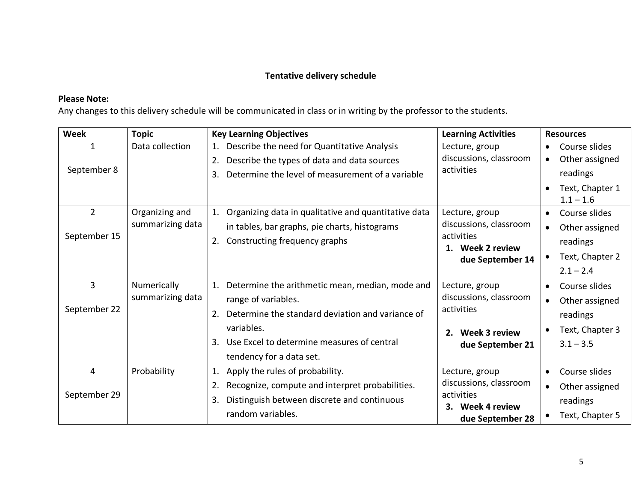## **Tentative delivery schedule**

## **Please Note:**

Any changes to this delivery schedule will be communicated in class or in writing by the professor to the students.

| <b>Week</b>                      | <b>Topic</b>                                           | <b>Key Learning Objectives</b>                                                                              | <b>Learning Activities</b>           | <b>Resources</b>            |
|----------------------------------|--------------------------------------------------------|-------------------------------------------------------------------------------------------------------------|--------------------------------------|-----------------------------|
| 1                                | Data collection                                        | Describe the need for Quantitative Analysis<br>1.                                                           | Lecture, group                       | Course slides               |
|                                  |                                                        | Describe the types of data and data sources<br>2.<br>Determine the level of measurement of a variable<br>3. | discussions, classroom<br>activities | Other assigned<br>$\bullet$ |
| September 8                      |                                                        |                                                                                                             |                                      | readings                    |
|                                  |                                                        |                                                                                                             |                                      | Text, Chapter 1             |
|                                  |                                                        |                                                                                                             |                                      | $1.1 - 1.6$                 |
| $\overline{2}$                   | Organizing and                                         | Organizing data in qualitative and quantitative data<br>1.                                                  | Lecture, group                       | Course slides<br>$\bullet$  |
| summarizing data<br>September 15 |                                                        | in tables, bar graphs, pie charts, histograms                                                               | discussions, classroom               | Other assigned<br>$\bullet$ |
|                                  | Constructing frequency graphs<br>2.                    | activities<br>1. Week 2 review<br>due September 14                                                          | readings                             |                             |
|                                  |                                                        |                                                                                                             | Text, Chapter 2<br>$\bullet$         |                             |
|                                  |                                                        |                                                                                                             |                                      | $2.1 - 2.4$                 |
| $\overline{3}$                   | Numerically                                            | Determine the arithmetic mean, median, mode and                                                             | Lecture, group                       | Course slides<br>$\bullet$  |
| September 22                     | summarizing data                                       | range of variables.                                                                                         | discussions, classroom               | Other assigned<br>$\bullet$ |
|                                  | Determine the standard deviation and variance of<br>2. | activities                                                                                                  | readings                             |                             |
|                                  |                                                        | variables.                                                                                                  | Week 3 review<br>2.                  | Text, Chapter 3             |
|                                  |                                                        | Use Excel to determine measures of central<br>3.                                                            | due September 21                     | $3.1 - 3.5$                 |
|                                  |                                                        | tendency for a data set.                                                                                    |                                      |                             |
| 4                                | Probability                                            | Apply the rules of probability.<br>1.                                                                       | Lecture, group                       | Course slides<br>$\bullet$  |
|                                  |                                                        | Recognize, compute and interpret probabilities.<br>2.                                                       | discussions, classroom               | Other assigned              |
| September 29                     |                                                        | Distinguish between discrete and continuous<br>3.                                                           | activities                           | readings                    |
|                                  |                                                        | random variables.                                                                                           | Week 4 review<br>3.                  | Text, Chapter 5             |
|                                  |                                                        |                                                                                                             | due September 28                     |                             |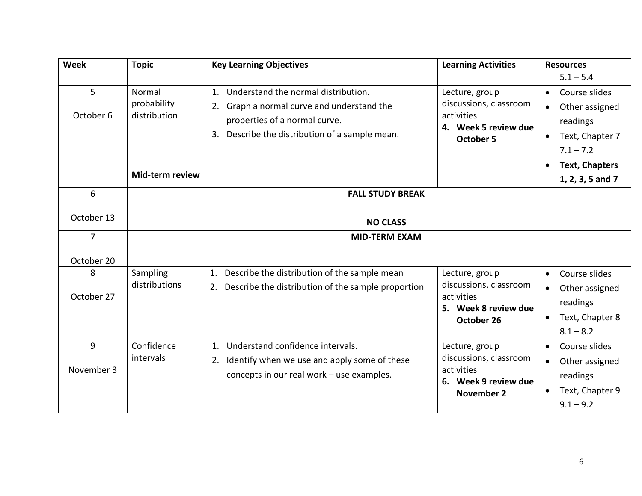| <b>Week</b>                       | <b>Topic</b>                                                       | <b>Key Learning Objectives</b>                                                                                                                                                | <b>Learning Activities</b>                                                                          | <b>Resources</b>                                                                                                    |
|-----------------------------------|--------------------------------------------------------------------|-------------------------------------------------------------------------------------------------------------------------------------------------------------------------------|-----------------------------------------------------------------------------------------------------|---------------------------------------------------------------------------------------------------------------------|
|                                   |                                                                    |                                                                                                                                                                               |                                                                                                     | $5.1 - 5.4$                                                                                                         |
| $5\phantom{.}$<br>October 6       | Normal<br>probability<br>distribution<br>Mid-term review           | 1. Understand the normal distribution.<br>Graph a normal curve and understand the<br>2.<br>properties of a normal curve.<br>Describe the distribution of a sample mean.<br>3. | Lecture, group<br>discussions, classroom<br>activities<br>4. Week 5 review due<br><b>October 5</b>  | Course slides<br>Other assigned<br>readings<br>Text, Chapter 7<br>$\bullet$<br>$7.1 - 7.2$<br><b>Text, Chapters</b> |
|                                   |                                                                    |                                                                                                                                                                               |                                                                                                     | 1, 2, 3, 5 and 7                                                                                                    |
| 6<br>October 13<br>$\overline{7}$ | <b>FALL STUDY BREAK</b><br><b>NO CLASS</b><br><b>MID-TERM EXAM</b> |                                                                                                                                                                               |                                                                                                     |                                                                                                                     |
| October 20                        |                                                                    |                                                                                                                                                                               |                                                                                                     |                                                                                                                     |
| 8<br>October 27                   | Sampling<br>distributions                                          | Describe the distribution of the sample mean<br>1.<br>Describe the distribution of the sample proportion<br>2.                                                                | Lecture, group<br>discussions, classroom<br>activities<br>5. Week 8 review due<br>October 26        | Course slides<br>$\bullet$<br>Other assigned<br>readings<br>Text, Chapter 8<br>$8.1 - 8.2$                          |
| 9<br>November 3                   | Confidence<br>intervals                                            | Understand confidence intervals.<br>1.<br>Identify when we use and apply some of these<br>2.<br>concepts in our real work - use examples.                                     | Lecture, group<br>discussions, classroom<br>activities<br>6. Week 9 review due<br><b>November 2</b> | Course slides<br>Other assigned<br>$\bullet$<br>readings<br>Text, Chapter 9<br>$\bullet$<br>$9.1 - 9.2$             |